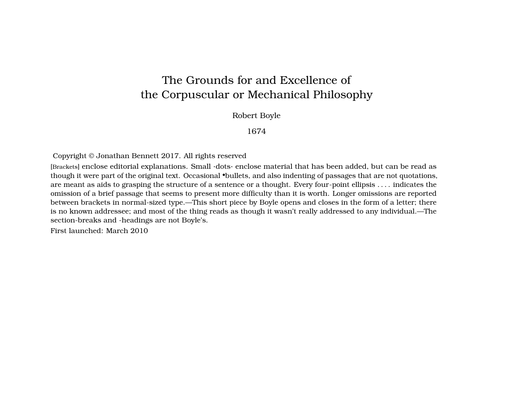# The Grounds for and Excellence of the Corpuscular or Mechanical Philosophy

Robert Boyle

1674

Copyright © Jonathan Bennett 2017. All rights reserved

[Brackets] enclose editorial explanations. Small ·dots· enclose material that has been added, but can be read as though it were part of the original text. Occasional •bullets, and also indenting of passages that are not quotations, are meant as aids to grasping the structure of a sentence or a thought. Every four-point ellipsis . . . . indicates the omission of a brief passage that seems to present more difficulty than it is worth. Longer omissions are reported between brackets in normal-sized type.—This short piece by Boyle opens and closes in the form of a letter; there is no known addressee; and most of the thing reads as though it wasn't really addressed to any individual.—The section-breaks and -headings are not Boyle's.

First launched: March 2010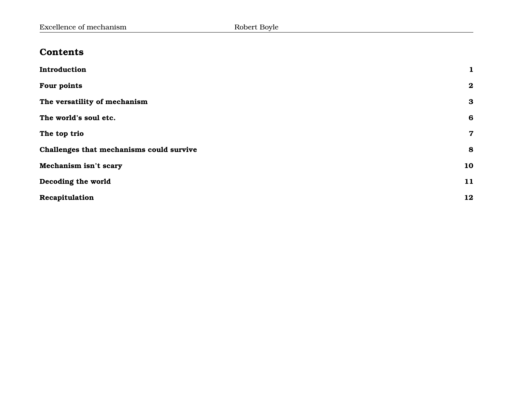| <b>Contents</b>                          |             |
|------------------------------------------|-------------|
| Introduction                             | $\mathbf 1$ |
| Four points                              | $\bf{2}$    |
| The versatility of mechanism             | 3           |
| The world's soul etc.                    | 6           |
| The top trio                             | 7           |
| Challenges that mechanisms could survive | 8           |
| Mechanism isn't scary                    | 10          |
| Decoding the world                       | 11          |
| Recapitulation                           | 12          |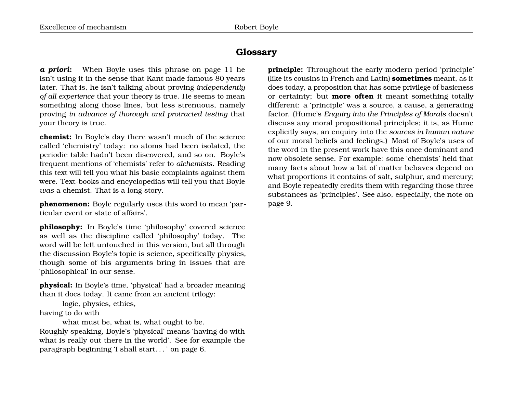## **Glossary**

*a priori***:** When Boyle uses this phrase on page [11](#page-13-0) he isn't using it in the sense that Kant made famous 80 years later. That is, he isn't talking about proving *independently of all experience* that your theory is true. He seems to mean something along those lines, but less strenuous, namely proving *in advance of thorough and protracted testing* that your theory is true.

**chemist:** In Boyle's day there wasn't much of the science called 'chemistry' today: no atoms had been isolated, the periodic table hadn't been discovered, and so on. Boyle's frequent mentions of 'chemists' refer to *alchemists*. Reading this text will tell you what his basic complaints against them were. Text-books and encyclopedias will tell you that Boyle *was* a chemist. That is a long story.

**phenomenon:** Boyle regularly uses this word to mean 'particular event or state of affairs'.

**philosophy:** In Boyle's time 'philosophy' covered science as well as the discipline called 'philosophy' today. The word will be left untouched in this version, but all through the discussion Boyle's topic is science, specifically physics, though some of his arguments bring in issues that are 'philosophical' in our sense.

**physical:** In Boyle's time, 'physical' had a broader meaning than it does today. It came from an ancient trilogy:

logic, physics, ethics,

having to do with

what must be, what is, what ought to be.

Roughly speaking, Boyle's 'physical' means 'having do with what is really out there in the world'. See for example the paragraph beginning 'I shall start. . . ' on page [6.](#page-8-0)

**principle:** Throughout the early modern period 'principle' (like its cousins in French and Latin) **sometimes** meant, as it does today, a proposition that has some privilege of basicness or certainty; but **more often** it meant something totally different: a 'principle' was a source, a cause, a generating factor. (Hume's *Enquiry into the Principles of Morals* doesn't discuss any moral propositional principles; it is, as Hume explicitly says, an enquiry into the *sources in human nature* of our moral beliefs and feelings.) Most of Boyle's uses of the word in the present work have this once dominant and now obsolete sense. For example: some 'chemists' held that many facts about how a bit of matter behaves depend on what proportions it contains of salt, sulphur, and mercury; and Boyle repeatedly credits them with regarding those three substances as 'principles'. See also, especially, the note on page [9.](#page-10-0)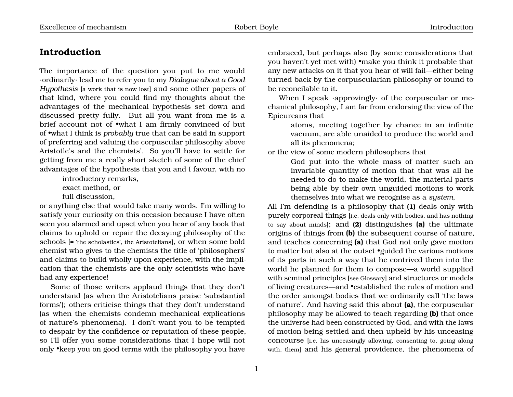## <span id="page-3-0"></span>**Introduction**

The importance of the question you put to me would ·ordinarily· lead me to refer you to my *Dialogue about a Good Hypothesis* [a work that is now lost] and some other papers of that kind, where you could find my thoughts about the advantages of the mechanical hypothesis set down and discussed pretty fully. But all you want from me is a brief account not of •what I am firmly convinced of but of •what I think is *probably* true that can be said in support of preferring and valuing the corpuscular philosophy above Aristotle's and the chemists'. So you'll have to settle for getting from me a really short sketch of some of the chief advantages of the hypothesis that you and I favour, with no

introductory remarks,

exact method, or

full discussion,

or anything else that would take many words. I'm willing to satisfy your curiosity on this occasion because I have often seen you alarmed and upset when you hear of any book that claims to uphold or repair the decaying philosophy of the schools [= 'the scholastics', the Aristotelians], or when some bold chemist who gives to the chemists the title of 'philosophers' and claims to build wholly upon experience, with the implication that the chemists are the only scientists who have had any experience!

Some of those writers applaud things that they don't understand (as when the Aristotelians praise 'substantial forms'); others criticise things that they don't understand (as when the chemists condemn mechanical explications of nature's phenomena). I don't want you to be tempted to despair by the confidence or reputation of these people, so I'll offer you some considerations that I hope will not only •keep you on good terms with the philosophy you have

embraced, but perhaps also (by some considerations that you haven't yet met with) •make you think it probable that any new attacks on it that you hear of will fail—either being turned back by the corpuscularian philosophy or found to be reconcilable to it.

When I speak ·approvingly· of the corpuscular or mechanical philosophy, I am far from endorsing the view of the Epicureans that

> atoms, meeting together by chance in an infinite vacuum, are able unaided to produce the world and all its phenomena;

or the view of some modern philosophers that

God put into the whole mass of matter such an invariable quantity of motion that that was all he needed to do to make the world, the material parts being able by their own unguided motions to work themselves into what we recognise as a *system*,

All I'm defending is a philosophy that **(1)** deals only with purely corporeal things [i.e. deals only with bodies, and has nothing to say about minds]; and **(2)** distinguishes **(a)** the ultimate origins of things from **(b)** the subsequent course of nature, and teaches concerning **(a)** that God not only gave motion to matter but also at the outset •guided the various motions of its parts in such a way that he contrived them into the world he planned for them to compose—a world supplied with seminal principles [see Glossary] and structures or models of living creatures—and •established the rules of motion and the order amongst bodies that we ordinarily call 'the laws of nature'. And having said this about **(a)**, the corpuscular philosophy may be allowed to teach regarding **(b)** that once the universe had been constructed by God, and with the laws of motion being settled and then upheld by his unceasing concourse [i.e. his unceasingly allowing, consenting to, going along with, them] and his general providence, the phenomena of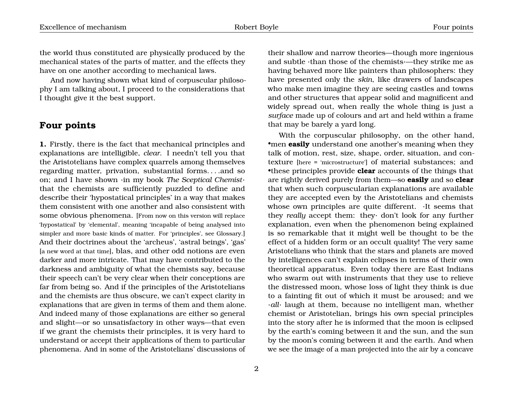the world thus constituted are physically produced by the mechanical states of the parts of matter, and the effects they have on one another according to mechanical laws.

And now having shown what kind of corpuscular philosophy I am talking about, I proceed to the considerations that I thought give it the best support.

#### <span id="page-4-0"></span>**Four points**

**1.** Firstly, there is the fact that mechanical principles and explanations are intelligible, *clear*. I needn't tell you that the Aristotelians have complex quarrels among themselves regarding matter, privation, substantial forms. . . .and so on; and I have shown ·in my book *The Sceptical Chemist*· that the chemists are sufficiently puzzled to define and describe their 'hypostatical principles' in a way that makes them consistent with one another and also consistent with some obvious phenomena. [From now on this version will replace 'hypostatical' by 'elemental', meaning 'incapable of being analysed into simpler and more basic kinds of matter. For 'principles', see Glossary.] And their doctrines about the 'archeus', 'astral beings', 'gas' [a new word at that time], blas, and other odd notions are even darker and more intricate. That may have contributed to the darkness and ambiguity of what the chemists say, because their speech can't be very clear when their conceptions are far from being so. And if the principles of the Aristotelians and the chemists are thus obscure, we can't expect clarity in explanations that are given in terms of them and them alone. And indeed many of those explanations are either so general and slight—or so unsatisfactory in other ways—that even if we grant the chemists their principles, it is very hard to understand or accept their applications of them to particular phenomena. And in some of the Aristotelians' discussions of

their shallow and narrow theories—though more ingenious and subtle ·than those of the chemists·—they strike me as having behaved more like painters than philosophers: they have presented only the *skin*, like drawers of landscapes who make men imagine they are seeing castles and towns and other structures that appear solid and magnificent and widely spread out, when really the whole thing is just a *surface* made up of colours and art and held within a frame that may be barely a yard long.

With the corpuscular philosophy, on the other hand, •men **easily** understand one another's meaning when they talk of motion, rest, size, shape, order, situation, and contexture [here = 'microstructure'] of material substances; and •these principles provide **clear** accounts of the things that are rightly derived purely from them—so **easily** and so **clear** that when such corpuscularian explanations are available they are accepted even by the Aristotelians and chemists whose own principles are quite different. ·It seems that they *really* accept them: they· don't look for any further explanation, even when the phenomenon being explained is so remarkable that it might well be thought to be the effect of a hidden form or an occult quality! The very same Aristotelians who think that the stars and planets are moved by intelligences can't explain eclipses in terms of their own theoretical apparatus. Even today there are East Indians who swarm out with instruments that they use to relieve the distressed moon, whose loss of light they think is due to a fainting fit out of which it must be aroused; and we ·*all*· laugh at them, because no intelligent man, whether chemist or Aristotelian, brings his own special principles into the story after he is informed that the moon is eclipsed by the earth's coming between it and the sun, and the sun by the moon's coming between it and the earth. And when we see the image of a man projected into the air by a concave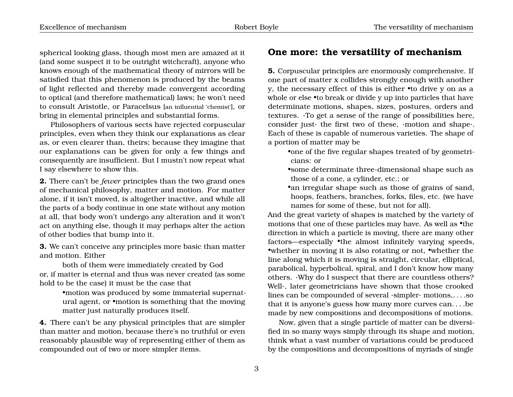spherical looking glass, though most men are amazed at it (and some suspect it to be outright witchcraft), anyone who knows enough of the mathematical theory of mirrors will be satisfied that this phenomenon is produced by the beams of light reflected and thereby made convergent according to optical (and therefore mathematical) laws; he won't need to consult Aristotle, or Paracelsus [an influential 'chemist'], or bring in elemental principles and substantial forms.

Philosophers of various sects have rejected corpuscular principles, even when they think our explanations as clear as, or even clearer than, theirs; because they imagine that our explanations can be given for only a few things and consequently are insufficient. But I mustn't now repeat what I say elsewhere to show this.

**2.** There can't be *fewer* principles than the two grand ones of mechanical philosophy, matter and motion. For matter alone, if it isn't moved, is altogether inactive, and while all the parts of a body continue in one state without any motion at all, that body won't undergo any alteration and it won't act on anything else, though it may perhaps alter the action of other bodies that bump into it.

**3.** We can't conceive any principles more basic than matter and motion. Either

both of them were immediately created by God or, if matter is eternal and thus was never created (as some hold to be the case) it must be the case that

> •motion was produced by some immaterial supernatural agent, or •motion is something that the moving matter just naturally produces itself.

**4.** There can't be any physical principles that are simpler than matter and motion, because there's no truthful or even reasonably plausible way of representing either of them as compounded out of two or more simpler items.

#### <span id="page-5-0"></span>**One more: the versatility of mechanism**

**5.** Corpuscular principles are enormously comprehensive. If one part of matter x collides strongly enough with another y, the necessary effect of this is either •to drive y on as a whole or else •to break or divide y up into particles that have determinate motions, shapes, sizes, postures, orders and textures. ·To get a sense of the range of possibilities here, consider just· the first two of these, ·motion and shape·. Each of these is capable of numerous varieties. The shape of a portion of matter may be

•one of the five regular shapes treated of by geometricians: or

•some determinate three-dimensional shape such as those of a cone, a cylinder, etc.; or

•an irregular shape such as those of grains of sand, hoops, feathers, branches, forks, files, etc. (we have names for some of these, but not for all).

And the great variety of shapes is matched by the variety of motions that one of these particles may have. As well as •the direction in which a particle is moving, there are many other factors—especially •the almost infinitely varying speeds, •whether in moving it is also rotating or not, •whether the line along which it is moving is straight, circular, elliptical, parabolical, hyperbolical, spiral, and I don't know how many others. ·Why do I suspect that there are countless others? Well·, later geometricians have shown that those crooked lines can be compounded of several ·simpler· motions,. . . .so that it is anyone's guess how many more curves can. . . .be made by new compositions and decompositions of motions.

Now, given that a single particle of matter can be diversified in so many ways simply through its shape and motion, think what a vast number of variations could be produced by the compositions and decompositions of myriads of single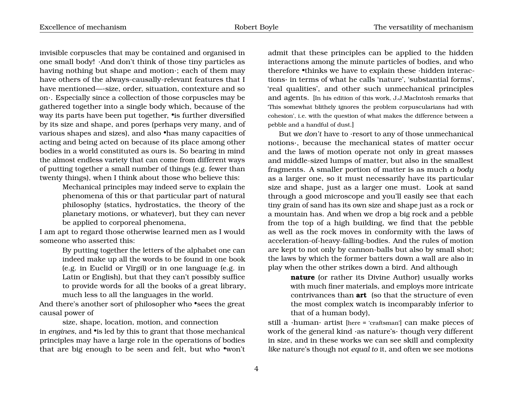invisible corpuscles that may be contained and organised in one small body! ·And don't think of those tiny particles as having nothing but shape and motion·; each of them may have others of the always-causally-relevant features that I have mentioned—·size, order, situation, contexture and so on·. Especially since a collection of those corpuscles may be gathered together into a single body which, because of the way its parts have been put together, • is further diversified by its size and shape, and pores (perhaps very many, and of various shapes and sizes), and also •has many capacities of acting and being acted on because of its place among other bodies in a world constituted as ours is. So bearing in mind the almost endless variety that can come from different ways of putting together a small number of things (e.g. fewer than twenty things), when I think about those who believe this:

> Mechanical principles may indeed serve to explain the phenomena of this or that particular part of natural philosophy (statics, hydrostatics, the theory of the planetary motions, or whatever), but they can never be applied to corporeal phenomena,

I am apt to regard those otherwise learned men as I would someone who asserted this:

> By putting together the letters of the alphabet one can indeed make up all the words to be found in one book (e.g. in Euclid or Virgil) or in one language (e.g. in Latin or English), but that they can't possibly suffice to provide words for all the books of a great library, much less to all the languages in the world.

And there's another sort of philosopher who •sees the great causal power of

size, shape, location, motion, and connection in *engines*, and •is led by this to grant that those mechanical principles may have a large role in the operations of bodies that are big enough to be seen and felt, but who •won't

admit that these principles can be applied to the hidden interactions among the minute particles of bodies, and who therefore •thinks we have to explain these ·hidden interactions· in terms of what he calls 'nature', 'substantial forms', 'real qualities', and other such unmechanical principles and agents. [In his edition of this work, J.J.MacIntosh remarks that 'This somewhat blithely ignores the problem corpuscularians had with cohesion', i.e. with the question of what makes the difference between a pebble and a handful of dust.]

But we *don't* have to ·resort to any of those unmechanical notions·, because the mechanical states of matter occur and the laws of motion operate not only in great masses and middle-sized lumps of matter, but also in the smallest fragments. A smaller portion of matter is as much *a body* as a larger one, so it must necessarily have its particular size and shape, just as a larger one must. Look at sand through a good microscope and you'll easily see that each tiny grain of sand has its own size and shape just as a rock or a mountain has. And when we drop a big rock and a pebble from the top of a high building, we find that the pebble as well as the rock moves in conformity with the laws of acceleration-of-heavy-falling-bodies. And the rules of motion are kept to not only by cannon-balls but also by small shot; the laws by which the former batters down a wall are also in play when the other strikes down a bird. And although

> **nature** (or rather its Divine Author) usually works with much finer materials, and employs more intricate contrivances than **art** (so that the structure of even the most complex watch is incomparably inferior to that of a human body),

still a ·human· artist [here = 'craftsman'] can make pieces of work of the general kind ·as nature's· though very different in size, and in these works we can see skill and complexity *like* nature's though not *equal to* it, and often we see motions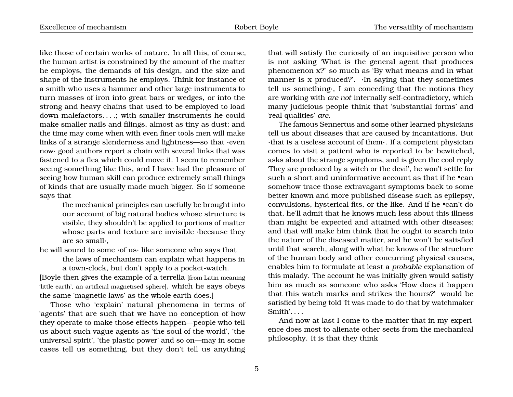like those of certain works of nature. In all this, of course, the human artist is constrained by the amount of the matter he employs, the demands of his design, and the size and shape of the instruments he employs. Think for instance of a smith who uses a hammer and other large instruments to turn masses of iron into great bars or wedges, or into the strong and heavy chains that used to be employed to load down malefactors. . . .; with smaller instruments he could make smaller nails and filings, almost as tiny as dust; and the time may come when with even finer tools men will make links of a strange slenderness and lightness—so that ·even now· good authors report a chain with several links that was fastened to a flea which could move it. I seem to remember seeing something like this, and I have had the pleasure of seeing how human skill can produce extremely small things of kinds that are usually made much bigger. So if someone says that

> the mechanical principles can usefully be brought into our account of big natural bodies whose structure is visible, they shouldn't be applied to portions of matter whose parts and texture are invisible ·because they are so small·,

he will sound to some ·of us· like someone who says that

the laws of mechanism can explain what happens in a town-clock, but don't apply to a pocket-watch.

[Boyle then gives the example of a terrella [from Latin meaning 'little earth', an artificial magnetised sphere], which he says obeys the same 'magnetic laws' as the whole earth does.]

Those who 'explain' natural phenomena in terms of 'agents' that are such that we have no conception of how they operate to make those effects happen—people who tell us about such vague agents as 'the soul of the world', 'the universal spirit', 'the plastic power' and so on—may in some cases tell us something, but they don't tell us anything

that will satisfy the curiosity of an inquisitive person who is not asking 'What is the general agent that produces phenomenon x?' so much as 'By what means and in what manner is x produced?'. ·In saying that they sometimes tell us something·, I am conceding that the notions they are working with *are not* internally self-contradictory, which many judicious people think that 'substantial forms' and 'real qualities' *are*.

The famous Sennertus and some other learned physicians tell us about diseases that are caused by incantations. But ·that is a useless account of them·. If a competent physician comes to visit a patient who is reported to be bewitched, asks about the strange symptoms, and is given the cool reply 'They are produced by a witch or the devil', he won't settle for such a short and uninformative account as that if he •can somehow trace those extravagant symptoms back to some better known and more published disease such as epilepsy, convulsions, hysterical fits, or the like. And if he •can't do that, he'll admit that he knows much less about this illness than might be expected and attained with other diseases; and that will make him think that he ought to search into the nature of the diseased matter, and he won't be satisfied until that search, along with what he knows of the structure of the human body and other concurring physical causes, enables him to formulate at least a *probable* explanation of this malady. The account he was initially given would satisfy him as much as someone who asks 'How does it happen that this watch marks and strikes the hours?' would be satisfied by being told 'It was made to do that by watchmaker Smith'. . . .

And now at last I come to the matter that in my experience does most to alienate other sects from the mechanical philosophy. It is that they think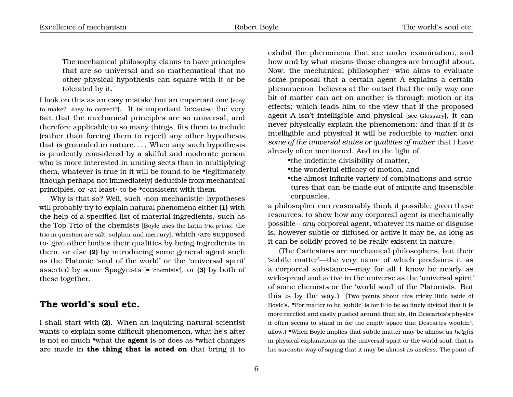The mechanical philosophy claims to have principles that are so universal and so mathematical that no other physical hypothesis can square with it or be tolerated by it.

I look on this as an easy mistake but an important one [easy to make? easy to correct?]. It is important because the very fact that the mechanical principles are so universal, and therefore applicable to so many things, fits them to include (rather than forcing them to reject) any other hypothesis that is grounded in nature. . . . When any such hypothesis is prudently considered by a skilful and moderate person who is more interested in uniting sects than in multiplying them, whatever is true in it will be found to be •legitimately (though perhaps not immediately) deducible from mechanical principles, or ·at least· to be •consistent with them.

Why is that so? Well, such ·non-mechanistic· hypotheses will probably try to explain natural phenomena either **(1)** with the help of a specified list of material ingredients, such as the Top Trio of the chemists [Boyle uses the Latin *tria prima*; the trio in question are salt, sulphur and mercury], which ·are supposed to· give other bodies their qualities by being ingredients in them, or else **(2)** by introducing some general agent such as the Platonic 'soul of the world' or the 'universal spirit' asserted by some Spagyrists [= 'chemists'], or **(3)** by both of these together.

## <span id="page-8-0"></span>**The world's soul etc.**

I shall start with **(2)**. When an inquiring natural scientist wants to explain some difficult phenomenon, what he's after is not so much •what the **agent** is or does as •what changes are made in **the thing that is acted on** that bring it to

exhibit the phenomena that are under examination, and how and by what means those changes are brought about. Now, the mechanical philosopher ·who aims to evaluate some proposal that a certain agent A explains a certain phenomenon· believes at the outset that the only way one bit of matter can act on another is through motion or its effects; which leads him to the view that if the proposed agent A isn't intelligible and physical [see Glossary], it can never physically explain the phenomenon; and that if it *is* intelligible and physical it will be reducible to *matter, and some of the universal states or qualities of matter* that I have already often mentioned. And in the light of

•the indefinite divisibility of matter,

•the wonderful efficacy of motion, and

•the almost infinite variety of combinations and structures that can be made out of minute and insensible corpuscles,

a philosopher can reasonably think it possible, given these resources, to show how any corporeal agent is mechanically possible—*any* corporeal agent, whatever its name or disguise is, however subtle or diffused or active it may be, as long as it can be solidly proved to be really existent in nature.

(The Cartesians are mechanical philosophers, but their 'subtle matter'—the very name of which proclaims it as a corporeal substance—may for all I know be nearly as widespread and active in the universe as the 'universal spirit' of some chemists or the 'world soul' of the Platonists. But this is by the way.) [Two points about this tricky little aside of Boyle's. •For matter to be 'subtle' is for it to be so finely divided that it is more rarefied and easily pushed around than air. (In Descartes's physics it often seems to stand in for the empty space that Descartes wouldn't allow.) •When Boyle implies that subtle matter may be almost as *helpful* in physical explanations as the universal spirit or the world soul, that is his sarcastic way of saying that it may be almost as *useless*. The point of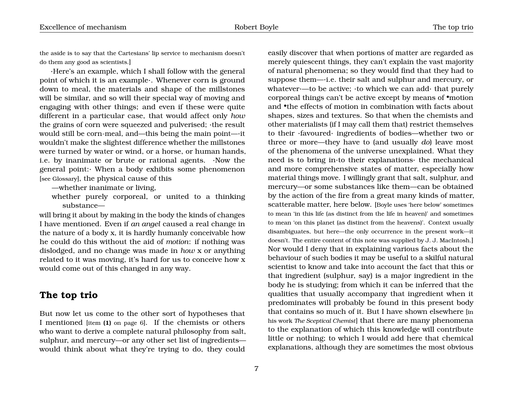the aside is to say that the Cartesians' lip service to mechanism doesn't do them any good as scientists.]

·Here's an example, which I shall follow with the general point of which it is an example·. Whenever corn is ground down to meal, the materials and shape of the millstones will be similar, and so will their special way of moving and engaging with other things; and even if these were quite different in a particular case, that would affect only *how* the grains of corn were squeezed and pulverised; ·the result would still be corn-meal, and—this being the main point—·it wouldn't make the slightest difference whether the millstones were turned by water or wind, or a horse, or human hands, i.e. by inanimate or brute or rational agents. ·Now the general point:· When a body exhibits some phenomenon [see Glossary], the physical cause of this

—whether inanimate or living,

whether purely corporeal, or united to a thinking substance—

will bring it about by making in the body the kinds of changes I have mentioned. Even if *an angel* caused a real change in the nature of a body x, it is hardly humanly conceivable how he could do this without the aid of *motion*: if nothing was dislodged, and no change was made in *how* x or anything related to it was moving, it's hard for us to conceive how x would come out of this changed in any way.

#### <span id="page-9-0"></span>**The top trio**

But now let us come to the other sort of hypotheses that I mentioned [item **(1)** on page [6](#page-5-0)]. If the chemists or others who want to derive a complete natural philosophy from salt, sulphur, and mercury—or any other set list of ingredients would think about what they're trying to do, they could easily discover that when portions of matter are regarded as merely quiescent things, they can't explain the vast majority of natural phenomena; so they would find that they had to suppose them—·i.e. their salt and sulphur and mercury, or whatever·—to be active; ·to which we can add· that purely corporeal things can't be active except by means of •motion and •the effects of motion in combination with facts about shapes, sizes and textures. So that when the chemists and other materialists (if I may call them that) restrict themselves to their ·favoured· ingredients of bodies—whether two or three or more—they have to (and usually *do*) leave most of the phenomena of the universe unexplained. What they need is to bring in·to their explanations· the mechanical and more comprehensive states of matter, especially how material things move. I willingly grant that salt, sulphur, and mercury—or some substances like them—can be obtained by the action of the fire from a great many kinds of matter, scatterable matter, here below. [Boyle uses 'here below' sometimes to mean 'in this life (as distinct from the life in heaven)' and sometimes to mean 'on this planet (as distinct from the heavens)'. Context usually disambiguates, but here—the only occurrence in the present work—it doesn't. The entire content of this note was supplied by J. J. MacIntosh.] Nor would I deny that in explaining various facts about the behaviour of such bodies it may be useful to a skilful natural scientist to know and take into account the fact that this or that ingredient (sulphur, say) is a major ingredient in the body he is studying; from which it can be inferred that the qualities that usually accompany that ingredient when it predominates will probably be found in this present body that contains so much of it. But I have shown elsewhere [in his work *The Sceptical Chemist*] that there are many phenomena to the explanation of which this knowledge will contribute little or nothing; to which I would add here that chemical explanations, although they are sometimes the most obvious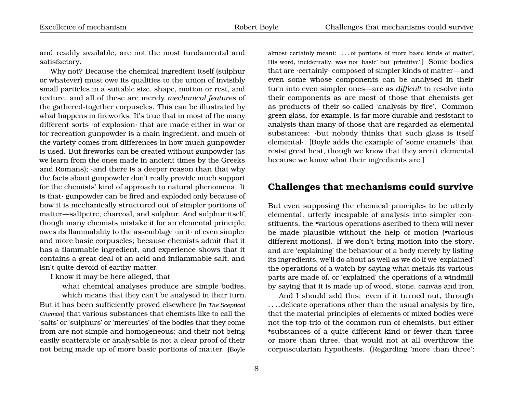and readily available, are not the most fundamental and satisfactory.

Why not? Because the chemical ingredient itself (sulphur or whatever) must owe its qualities to the union of invisibly small particles in a suitable size, shape, motion or rest, and texture, and all of these are merely *mechanical features* of the gathered-together corpuscles. This can be illustrated by what happens in fireworks. It's true that in most of the many different sorts ·of explosion· that are made either in war or for recreation gunpowder is a main ingredient, and much of the variety comes from differences in how much gunpowder is used. But fireworks can be created without gunpowder (as we learn from the ones made in ancient times by the Greeks and Romans); ·and there is a deeper reason than that why the facts about gunpowder don't really provide much support for the chemists' kind of approach to natural phenomena. It is that· gunpowder can be fired and exploded only because of how it is mechanically structured out of simpler portions of matter—saltpetre, charcoal, and sulphur. And sulphur itself, though many chemists mistake it for an elemental principle, owes its flammability to the assemblage ·in it· of even simpler and more basic corpuscles; because chemists admit that it has a flammable ingredient, and experience shows that it contains a great deal of an acid and inflammable salt, and isn't quite devoid of earthy matter.

I know it may be here alleged, that

what chemical analyses produce are simple bodies, which means that they can't be analysed in their turn. But it has been sufficiently proved elsewhere [in *The Sceptical Chemist*] that various substances that chemists like to call the 'salts' or 'sulphurs' or 'mercuries' of the bodies that they come from are not simple and homogeneous; and their not being easily scatterable or analysable is not a clear proof of their not being made up of more basic portions of matter. [Boyle

almost certainly meant: '. . . of portions of more basic kinds of matter'. His word, incidentally, was not 'basic' but 'primitive'.] Some bodies that are ·certainly· composed of simpler kinds of matter—and even some whose components can be analysed in their turn into even simpler ones—are as *difficult* to resolve into their components as are most of those that chemists get as products of their so-called 'analysis by fire'. Common green glass, for example, is far more durable and resistant to analysis than many of those that are regarded as elemental substances; ·but nobody thinks that such glass is itself elemental·. [Boyle adds the example of 'some enamels' that resist great heat, though we know that they aren't elemental because we know what their ingredients are.]

#### <span id="page-10-0"></span>**Challenges that mechanisms could survive**

But even supposing the chemical principles to be utterly elemental, utterly incapable of analysis into simpler constituents, the •various operations ascribed to them will never be made plausible without the help of motion (•various different motions). If we don't bring motion into the story, and are 'explaining' the behaviour of a body merely by listing its ingredients, we'll do about as well as we do if we 'explained' the operations of a watch by saying what metals its various parts are made of, or 'explained' the operations of a windmill by saying that it is made up of wood, stone, canvas and iron.

And I should add this: even if it turned out, through . . . .delicate operations other than the usual analysis by fire, that the material principles of elements of mixed bodies were not the top trio of the common run of chemists, but either •substances of a quite different kind or fewer than three or more than three, that would not at all overthrow the corpuscularian hypothesis. (Regarding 'more than three':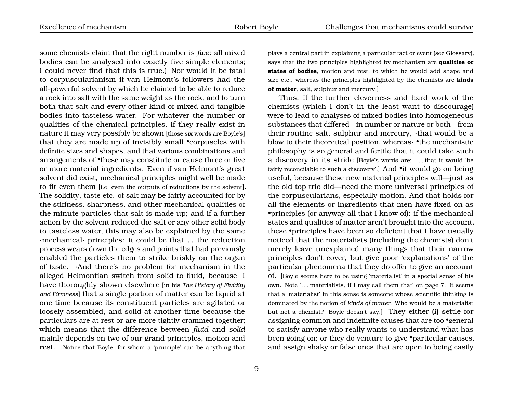some chemists claim that the right number is *five*: all mixed bodies can be analysed into exactly five simple elements; I could never find that this is true.) Nor would it be fatal to corpuscularianism if van Helmont's followers had the all-powerful solvent by which he claimed to be able to reduce a rock into salt with the same weight as the rock, and to turn both that salt and every other kind of mixed and tangible bodies into tasteless water. For whatever the number or qualities of the chemical principles, if they really exist in nature it may very possibly be shown [those six words are Boyle's] that they are made up of invisibly small •corpuscles with definite sizes and shapes, and that various combinations and arrangements of •these may constitute or cause three or five or more material ingredients. Even if van Helmont's great solvent did exist, mechanical principles might well be made to fit even them [i.e. even the outputs of reductions by the solvent]. The solidity, taste etc. of salt may be fairly accounted for by the stiffness, sharpness, and other mechanical qualities of the minute particles that salt is made up; and if a further action by the solvent reduced the salt or any other solid body to tasteless water, this may also be explained by the same ·mechanical· principles: it could be that. . . .the reduction process wears down the edges and points that had previously enabled the particles them to strike briskly on the organ of taste. ·And there's no problem for mechanism in the alleged Helmontian switch from solid to fluid, because· I have thoroughly shown elsewhere [in his *The History of Fluidity and Firmness*] that a single portion of matter can be liquid at one time because its constituent particles are agitated or loosely assembled, and solid at another time because the particulars are at rest or are more tightly crammed together; which means that the difference between *fluid* and *solid* mainly depends on two of our grand principles, motion and rest. [Notice that Boyle, for whom a 'principle' can be anything that

9

plays a central part in explaining a particular fact or event (see Glossary), says that the two principles highlighted by mechanism are **qualities or states of bodies**, motion and rest, to which he would add shape and size etc., whereas the principles highlighted by the chemists are **kinds of matter**, salt, sulphur and mercury.]

Thus, if the further cleverness and hard work of the chemists (which I don't in the least want to discourage) were to lead to analyses of mixed bodies into homogeneous substances that differed—in number or nature or both—from their routine salt, sulphur and mercury, ·that would be a blow to their theoretical position, whereas • the mechanistic philosophy is so general and fertile that it could take such a discovery in its stride [Boyle's words are: . . . that it would 'be fairly reconcilable to such a discovery'.] And •it would go on being useful, because these new material principles will—just as the old top trio did—need the more universal principles of the corpuscularians, especially motion. And that holds for all the elements or ingredients that men have fixed on as •principles (or anyway all that I know of): if the mechanical states and qualities of matter aren't brought into the account, these •principles have been so deficient that I have usually noticed that the materialists (including the chemists) don't merely leave unexplained many things that their narrow principles don't cover, but give poor 'explanations' of the particular phenomena that they do offer to give an account of. [Boyle seems here to be using 'materialist' in a special sense of his own. Note '... materialists, if I may call them that' on page [7.](#page-9-0) It seems that a 'materialist' in this sense is someone whose scientific thinking is dominated by the notion of *kinds of matter*. Who would be a materialist but not a chemist? Boyle doesn't say.] They either **(i)** settle for assigning common and indefinite causes that are too •general to satisfy anyone who really wants to understand what has been going on; or they do venture to give •particular causes, and assign shaky or false ones that are open to being easily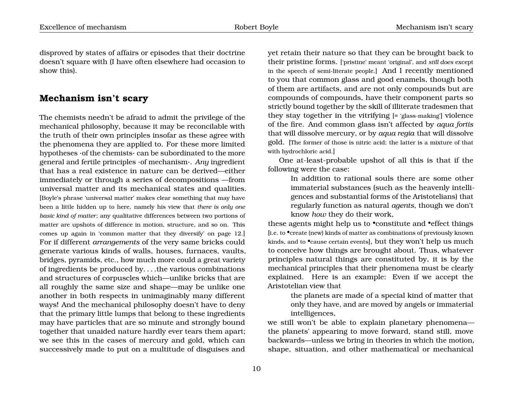disproved by states of affairs or episodes that their doctrine doesn't square with (I have often elsewhere had occasion to show this).

#### <span id="page-12-0"></span>**Mechanism isn't scary**

The chemists needn't be afraid to admit the privilege of the mechanical philosophy, because it may be reconcilable with the truth of their own principles insofar as these agree with the phenomena they are applied to. For these more limited hypotheses ·of the chemists· can be subordinated to the more general and fertile principles ·of mechanism·. *Any* ingredient that has a real existence in nature can be derived—either immediately or through a series of decompositions —from universal matter and its mechanical states and qualities. [Boyle's phrase 'universal matter' makes clear something that may have been a little hidden up to here, namely his view that *there is only one basic kind of matter*; any qualitative differences between two portions of matter are upshots of difference in motion, structure, and so on. This comes up again in 'common matter that they diversify' on page [12.](#page-14-0)] For if different *arrangements* of the very same bricks could generate various kinds of walls, houses, furnaces, vaults, bridges, pyramids, etc., how much more could a great variety of ingredients be produced by. . . .the various combinations and structures of corpuscles which—unlike bricks that are all roughly the same size and shape—may be unlike one another in both respects in unimaginably many different ways! And the mechanical philosophy doesn't have to deny that the primary little lumps that belong to these ingredients may have particles that are so minute and strongly bound together that unaided nature hardly ever tears them apart; we see this in the cases of mercury and gold, which can successively made to put on a multitude of disguises and

yet retain their nature so that they can be brought back to their pristine forms. ['pristine' meant 'original', and *still does* except in the speech of semi-literate people.] And I recently mentioned to you that common glass and good enamels, though both of them are artifacts, and are not only compounds but are compounds of compounds, have their component parts so strictly bound together by the skill of illiterate tradesmen that they stay together in the vitrifying [= 'glass-making'] violence of the fire. And common glass isn't affected by *aqua fortis* that will dissolve mercury, or by *aqua regia* that will dissolve gold. [The former of those is nitric acid; the latter is a mixture of that with hydrochloric acid.]

One at-least-probable upshot of all this is that if the following were the case:

> In addition to rational souls there are some other immaterial substances (such as the heavenly intelligences and substantial forms of the Aristotelians) that regularly function as natural *agents*, though we don't know *how* they do their work,

these agents might help us to •constitute and •effect things [i.e. to •create (new) kinds of matter as combinations of previously known kinds, and to •cause certain events], but they won't help us much to conceive how things are brought about. Thus, whatever principles natural things are constituted by, it is by the mechanical principles that their phenomena must be clearly explained. Here is an example: Even if we accept the Aristotelian view that

the planets are made of a special kind of matter that only they have, and are moved by angels or immaterial intelligences,

we still won't be able to explain planetary phenomena the planets' appearing to move forward, stand still, move backwards—unless we bring in theories in which the motion, shape, situation, and other mathematical or mechanical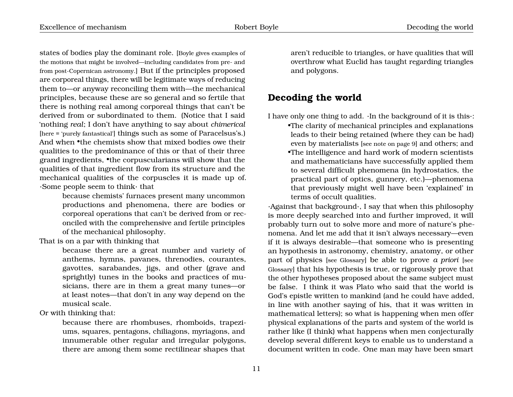states of bodies play the dominant role. [Boyle gives examples of the motions that might be involved—including candidates from pre- and from post-Copernican astronomy.] But if the principles proposed are corporeal things, there will be legitimate ways of reducing them to—or anyway reconciling them with—the mechanical principles, because these are so general and so fertile that there is nothing real among corporeal things that can't be derived from or subordinated to them. (Notice that I said 'nothing *real*; I don't have anything to say about *chimerical* [here = 'purely fantastical'] things such as some of Paracelsus's.) And when •the chemists show that mixed bodies owe their qualities to the predominance of this or that of their three grand ingredients, •the corpuscularians will show that the qualities of that ingredient flow from its structure and the mechanical qualities of the corpuscles it is made up of. ·Some people seem to think· that

> because chemists' furnaces present many uncommon productions and phenomena, there are bodies or corporeal operations that can't be derived from or reconciled with the comprehensive and fertile principles of the mechanical philosophy.

That is on a par with thinking that

because there are a great number and variety of anthems, hymns, pavanes, threnodies, courantes, gavottes, sarabandes, jigs, and other (grave and sprightly) tunes in the books and practices of musicians, there are in them a great many tunes—or at least notes—that don't in any way depend on the musical scale.

Or with thinking that:

because there are rhombuses, rhomboids, trapeziums, squares, pentagons, chiliagons, myriagons, and innumerable other regular and irregular polygons, there are among them some rectilinear shapes that aren't reducible to triangles, or have qualities that will overthrow what Euclid has taught regarding triangles and polygons.

## <span id="page-13-0"></span>**Decoding the world**

I have only one thing to add. ·In the background of it is this·:

•The clarity of mechanical principles and explanations leads to their being retained (where they can be had) even by materialists [see note on page [9](#page-10-0)] and others; and •The intelligence and hard work of modern scientists and mathematicians have successfully applied them to several difficult phenomena (in hydrostatics, the practical part of optics, gunnery, etc.)—phenomena that previously might well have been 'explained' in terms of occult qualities.

·Against that background·, I say that when this philosophy is more deeply searched into and further improved, it will probably turn out to solve more and more of nature's phenomena. And let me add that it isn't always necessary—even if it is always desirable—that someone who is presenting an hypothesis in astronomy, chemistry, anatomy, or other part of physics [see Glossary] be able to prove *a priori* [see Glossary] that his hypothesis is true, or rigorously prove that the other hypotheses proposed about the same subject must be false. I think it was Plato who said that the world is God's epistle written to mankind (and he could have added, in line with another saying of his, that it was written in mathematical letters); so what is happening when men offer physical explanations of the parts and system of the world is rather like (I think) what happens when men conjecturally develop several different keys to enable us to understand a document written in code. One man may have been smart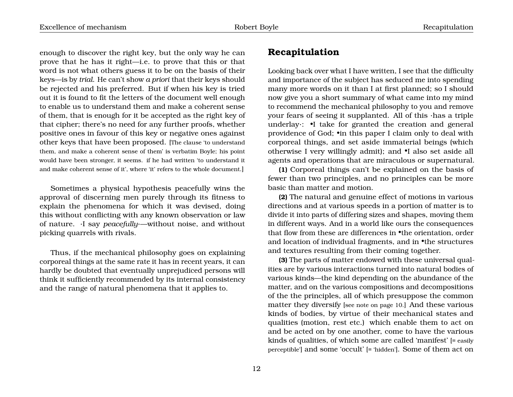enough to discover the right key, but the only way he can prove that he has it right—i.e. to prove that this or that word is not what others guess it to be on the basis of their keys—is by *trial*. He can't show *a priori* that their keys should be rejected and his preferred. But if when his key is tried out it is found to fit the letters of the document well enough to enable us to understand them and make a coherent sense of them, that is enough for it be accepted as the right key of that cipher; there's no need for any further proofs, whether positive ones in favour of this key or negative ones against other keys that have been proposed. [The clause 'to understand them, and make a coherent sense of them' is verbatim Boyle; his point would have been stronger, it seems. if he had written 'to understand it and make coherent sense of it', where 'it' refers to the whole document.]

Sometimes a physical hypothesis peacefully wins the approval of discerning men purely through its fitness to explain the phenomena for which it was devised, doing this without conflicting with any known observation or law of nature. ·I say *peacefully*·—without noise, and without picking quarrels with rivals.

Thus, if the mechanical philosophy goes on explaining corporeal things at the same rate it has in recent years, it can hardly be doubted that eventually unprejudiced persons will think it sufficiently recommended by its internal consistency and the range of natural phenomena that it applies to.

## <span id="page-14-0"></span>**Recapitulation**

Looking back over what I have written, I see that the difficulty and importance of the subject has seduced me into spending many more words on it than I at first planned; so I should now give you a short summary of what came into my mind to recommend the mechanical philosophy to you and remove your fears of seeing it supplanted. All of this ·has a triple underlay·: •I take for granted the creation and general providence of God; •in this paper I claim only to deal with corporeal things, and set aside immaterial beings (which otherwise I very willingly admit); and •I also set aside all agents and operations that are miraculous or supernatural.

**(1)** Corporeal things can't be explained on the basis of fewer than two principles, and no principles can be more basic than matter and motion.

**(2)** The natural and genuine effect of motions in various directions and at various speeds in a portion of matter is to divide it into parts of differing sizes and shapes, moving them in different ways. And in a world like ours the consequences that flow from these are differences in •the orientation, order and location of individual fragments, and in •the structures and textures resulting from their coming together.

**(3)** The parts of matter endowed with these universal qualities are by various interactions turned into natural bodies of various kinds—the kind depending on the abundance of the matter, and on the various compositions and decompositions of the the principles, all of which presuppose the common matter they diversify [see note on page [10.](#page-12-0)] And these various kinds of bodies, by virtue of their mechanical states and qualities (motion, rest etc.) which enable them to act on and be acted on by one another, come to have the various kinds of qualities, of which some are called 'manifest' [= easily perceptible'] and some 'occult' [= 'hidden']. Some of them act on